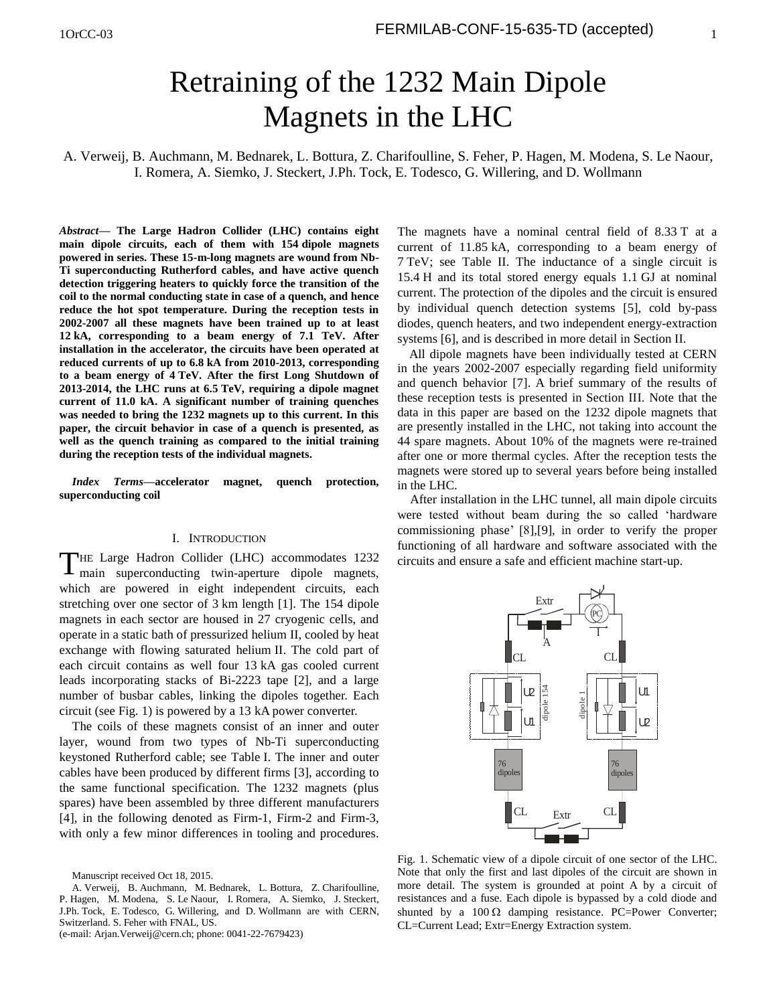# Retraining of the 1232 Main Dipole Magnets in the LHC

A. Verweij, B. Auchmann, M. Bednarek, L. Bottura, Z. Charifoulline, S. Feher, P. Hagen, M. Modena, S. Le Naour, I. Romera, A. Siemko, J. Steckert, J.Ph. Tock, E. Todesco, G. Willering, and D. Wollmann

*Abstract***— The Large Hadron Collider (LHC) contains eight main dipole circuits, each of them with 154 dipole magnets powered in series. These 15-m-long magnets are wound from Nb-Ti superconducting Rutherford cables, and have active quench detection triggering heaters to quickly force the transition of the coil to the normal conducting state in case of a quench, and hence reduce the hot spot temperature. During the reception tests in 2002-2007 all these magnets have been trained up to at least 12 kA, corresponding to a beam energy of 7.1 TeV. After installation in the accelerator, the circuits have been operated at reduced currents of up to 6.8 kA from 2010-2013, corresponding to a beam energy of 4 TeV. After the first Long Shutdown of 2013-2014, the LHC runs at 6.5 TeV, requiring a dipole magnet current of 11.0 kA. A significant number of training quenches was needed to bring the 1232 magnets up to this current. In this paper, the circuit behavior in case of a quench is presented, as well as the quench training as compared to the initial training during the reception tests of the individual magnets.** 

*Index Terms***—accelerator magnet, quench protection, superconducting coil**

## I. INTRODUCTION

THE Large Hadron Collider (LHC) accommodates 1232 main superconducting twin-aperture dipole magnets, I main superconducting twin-aperture dipole magnets, which are powered in eight independent circuits, each stretching over one sector of 3 km length [1]. The 154 dipole magnets in each sector are housed in 27 cryogenic cells, and operate in a static bath of pressurized helium II, cooled by heat exchange with flowing saturated helium II. The cold part of each circuit contains as well four 13 kA gas cooled current leads incorporating stacks of Bi-2223 tape [2], and a large number of busbar cables, linking the dipoles together. Each circuit (see Fig. 1) is powered by a 13 kA power converter.

The coils of these magnets consist of an inner and outer layer, wound from two types of Nb-Ti superconducting keystoned Rutherford cable; see Table I. The inner and outer cables have been produced by different firms [3], according to the same functional specification. The 1232 magnets (plus spares) have been assembled by three different manufacturers [4], in the following denoted as Firm-1, Firm-2 and Firm-3, with only a few minor differences in tooling and procedures.

(e-mail: Arjan.Verweij@cern.ch; phone: 0041-22-7679423)

The magnets have a nominal central field of 8.33 T at a current of 11.85 kA, corresponding to a beam energy of 7 TeV; see Table II. The inductance of a single circuit is 15.4 H and its total stored energy equals 1.1 GJ at nominal current. The protection of the dipoles and the circuit is ensured by individual quench detection systems [5], cold by-pass diodes, quench heaters, and two independent energy-extraction systems [6], and is described in more detail in Section II.

All dipole magnets have been individually tested at CERN in the years 2002-2007 especially regarding field uniformity and quench behavior [7]. A brief summary of the results of these reception tests is presented in Section III. Note that the data in this paper are based on the 1232 dipole magnets that are presently installed in the LHC, not taking into account the 44 spare magnets. About 10% of the magnets were re-trained after one or more thermal cycles. After the reception tests the magnets were stored up to several years before being installed in the LHC.

After installation in the LHC tunnel, all main dipole circuits were tested without beam during the so called 'hardware commissioning phase' [8],[9], in order to verify the proper functioning of all hardware and software associated with the circuits and ensure a safe and efficient machine start-up.



Fig. 1. Schematic view of a dipole circuit of one sector of the LHC. Note that only the first and last dipoles of the circuit are shown in more detail. The system is grounded at point A by a circuit of resistances and a fuse. Each dipole is bypassed by a cold diode and shunted by a  $100 \Omega$  damping resistance. PC=Power Converter; CL=Current Lead; Extr=Energy Extraction system.

Manuscript received Oct 18, 2015.

A. Verweij, B. Auchmann, M. Bednarek, L. Bottura, Z. Charifoulline, P. Hagen, M. Modena, S. Le Naour, I. Romera, A. Siemko, J. Steckert, J.Ph. Tock, E. Todesco, G. Willering, and D. Wollmann are with CERN, Switzerland. S. Feher with FNAL, US.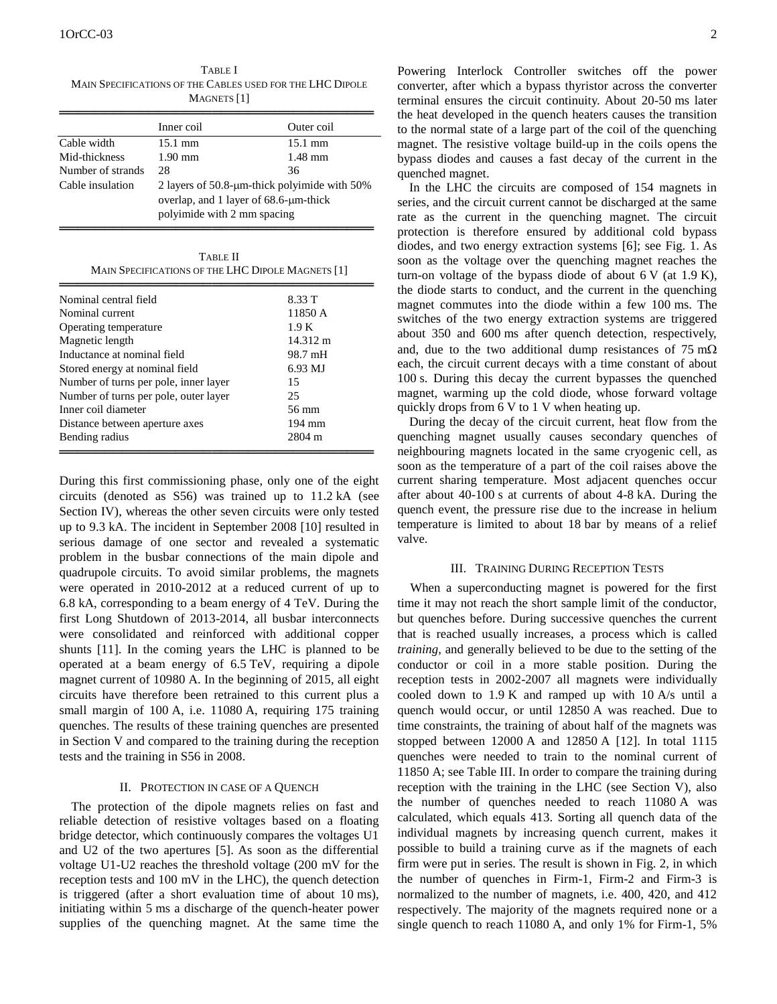|                   | MAGNETS   1                                    |                   |  |  |
|-------------------|------------------------------------------------|-------------------|--|--|
|                   | Inner coil                                     | Outer coil        |  |  |
| Cable width       | $15.1 \text{ mm}$                              | $15.1 \text{ mm}$ |  |  |
| Mid-thickness     | $1.90 \text{ mm}$                              | $1.48$ mm         |  |  |
| Number of strands | 28                                             | 36                |  |  |
| Cable insulation  | 2 layers of 50.8-µm-thick polyimide with 50%   |                   |  |  |
|                   | overlap, and 1 layer of $68.6$ - $\mu$ m-thick |                   |  |  |
|                   | polyimide with 2 mm spacing                    |                   |  |  |

TABLE I MAIN SPECIFICATIONS OF THE CABLES USED FOR THE LHC DIPOLE MAGNETS [1]

| TABLE II                                          |  |
|---------------------------------------------------|--|
| MAIN SPECIFICATIONS OF THE LHC DIPOLE MAGNETS [1] |  |

═══════════════════════════════════

| Nominal central field                 | 8.33 T   |
|---------------------------------------|----------|
| Nominal current                       | 11850 A  |
| Operating temperature                 | 1.9K     |
| Magnetic length                       | 14.312 m |
| Inductance at nominal field           | 98.7 mH  |
| Stored energy at nominal field        | 6.93 MJ  |
| Number of turns per pole, inner layer | 15       |
| Number of turns per pole, outer layer | 25       |
| Inner coil diameter                   | 56 mm    |
| Distance between aperture axes        | 194 mm   |
| Bending radius                        | 2804 m   |
|                                       |          |

During this first commissioning phase, only one of the eight circuits (denoted as S56) was trained up to 11.2 kA (see Section IV), whereas the other seven circuits were only tested up to 9.3 kA. The incident in September 2008 [10] resulted in serious damage of one sector and revealed a systematic problem in the busbar connections of the main dipole and quadrupole circuits. To avoid similar problems, the magnets were operated in 2010-2012 at a reduced current of up to 6.8 kA, corresponding to a beam energy of 4 TeV. During the first Long Shutdown of 2013-2014, all busbar interconnects were consolidated and reinforced with additional copper shunts [11]. In the coming years the LHC is planned to be operated at a beam energy of 6.5 TeV, requiring a dipole magnet current of 10980 A. In the beginning of 2015, all eight circuits have therefore been retrained to this current plus a small margin of 100 A, i.e. 11080 A, requiring 175 training quenches. The results of these training quenches are presented in Section V and compared to the training during the reception tests and the training in S56 in 2008.

# II. PROTECTION IN CASE OF A QUENCH

The protection of the dipole magnets relies on fast and reliable detection of resistive voltages based on a floating bridge detector, which continuously compares the voltages U1 and U2 of the two apertures [5]. As soon as the differential voltage U1-U2 reaches the threshold voltage (200 mV for the reception tests and 100 mV in the LHC), the quench detection is triggered (after a short evaluation time of about 10 ms), initiating within 5 ms a discharge of the quench-heater power supplies of the quenching magnet. At the same time the

Powering Interlock Controller switches off the power converter, after which a bypass thyristor across the converter terminal ensures the circuit continuity. About 20-50 ms later the heat developed in the quench heaters causes the transition to the normal state of a large part of the coil of the quenching magnet. The resistive voltage build-up in the coils opens the bypass diodes and causes a fast decay of the current in the quenched magnet.

In the LHC the circuits are composed of 154 magnets in series, and the circuit current cannot be discharged at the same rate as the current in the quenching magnet. The circuit protection is therefore ensured by additional cold bypass diodes, and two energy extraction systems [6]; see Fig. 1. As soon as the voltage over the quenching magnet reaches the turn-on voltage of the bypass diode of about 6 V (at 1.9 K), the diode starts to conduct, and the current in the quenching magnet commutes into the diode within a few 100 ms. The switches of the two energy extraction systems are triggered about 350 and 600 ms after quench detection, respectively, and, due to the two additional dump resistances of  $75 \text{ m}\Omega$ each, the circuit current decays with a time constant of about 100 s. During this decay the current bypasses the quenched magnet, warming up the cold diode, whose forward voltage quickly drops from 6 V to 1 V when heating up.

During the decay of the circuit current, heat flow from the quenching magnet usually causes secondary quenches of neighbouring magnets located in the same cryogenic cell, as soon as the temperature of a part of the coil raises above the current sharing temperature. Most adjacent quenches occur after about 40-100 s at currents of about 4-8 kA. During the quench event, the pressure rise due to the increase in helium temperature is limited to about 18 bar by means of a relief valve.

#### III. TRAINING DURING RECEPTION TESTS

When a superconducting magnet is powered for the first time it may not reach the short sample limit of the conductor, but quenches before. During successive quenches the current that is reached usually increases, a process which is called *training*, and generally believed to be due to the setting of the conductor or coil in a more stable position. During the reception tests in 2002-2007 all magnets were individually cooled down to 1.9 K and ramped up with 10 A/s until a quench would occur, or until 12850 A was reached. Due to time constraints, the training of about half of the magnets was stopped between 12000 A and 12850 A [12]. In total 1115 quenches were needed to train to the nominal current of 11850 A; see Table III. In order to compare the training during reception with the training in the LHC (see Section V), also the number of quenches needed to reach 11080 A was calculated, which equals 413. Sorting all quench data of the individual magnets by increasing quench current, makes it possible to build a training curve as if the magnets of each firm were put in series. The result is shown in Fig. 2, in which the number of quenches in Firm-1, Firm-2 and Firm-3 is normalized to the number of magnets, i.e. 400, 420, and 412 respectively. The majority of the magnets required none or a single quench to reach 11080 A, and only 1% for Firm-1, 5%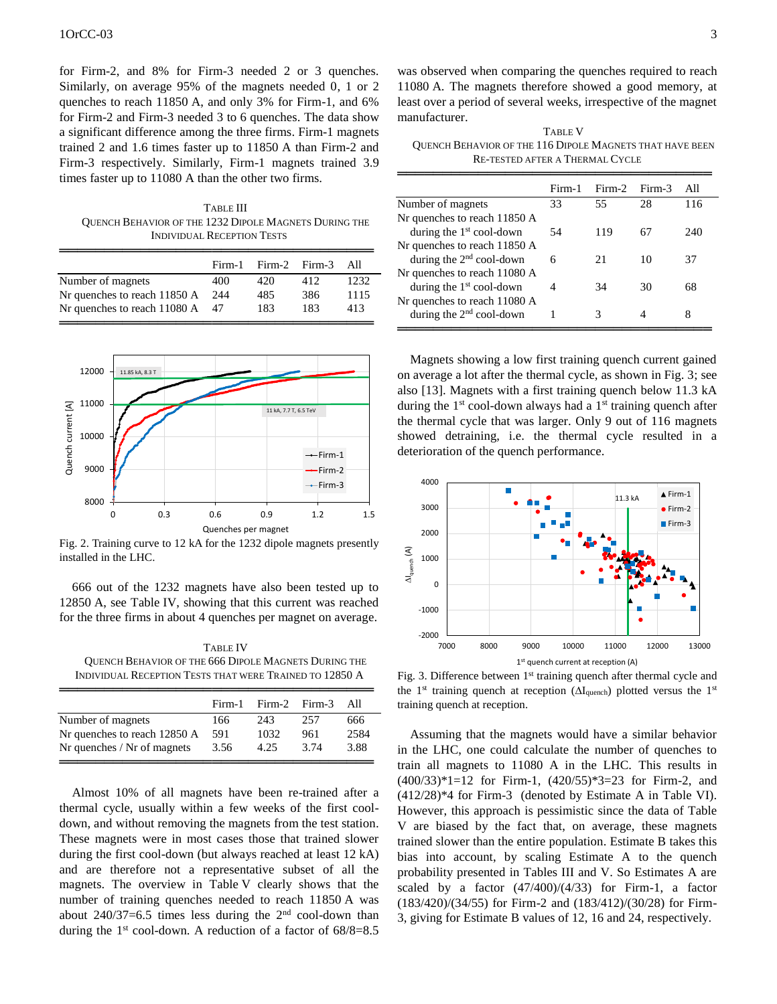for Firm-2, and 8% for Firm-3 needed 2 or 3 quenches. Similarly, on average 95% of the magnets needed 0, 1 or 2 quenches to reach 11850 A, and only 3% for Firm-1, and 6% for Firm-2 and Firm-3 needed 3 to 6 quenches. The data show a significant difference among the three firms. Firm-1 magnets trained 2 and 1.6 times faster up to 11850 A than Firm-2 and Firm-3 respectively. Similarly, Firm-1 magnets trained 3.9 times faster up to 11080 A than the other two firms.

TABLE III QUENCH BEHAVIOR OF THE 1232 DIPOLE MAGNETS DURING THE INDIVIDUAL RECEPTION TESTS

|                              | Firm-1 | Firm-2 | Firm-3 | All  |
|------------------------------|--------|--------|--------|------|
| Number of magnets            | 400    | 420    | 412    | 1232 |
| Nr quenches to reach 11850 A | 244    | 485    | 386    | 1115 |
| Nr quenches to reach 11080 A | 47     | 183    | 183    | 413  |



Fig. 2. Training curve to 12 kA for the 1232 dipole magnets presently installed in the LHC.

666 out of the 1232 magnets have also been tested up to 12850 A, see Table IV, showing that this current was reached for the three firms in about 4 quenches per magnet on average.

TABLE IV QUENCH BEHAVIOR OF THE 666 DIPOLE MAGNETS DURING THE INDIVIDUAL RECEPTION TESTS THAT WERE TRAINED TO 12850 A

|                              | Firm-1 | Firm-2 Firm-3 |      | All  |
|------------------------------|--------|---------------|------|------|
| Number of magnets            | 166    | 243           | 257  | 666  |
| Nr quenches to reach 12850 A | 591    | 1032          | 961  | 2584 |
| Nr quenches / Nr of magnets  | 3.56   | 4.25          | 3.74 | 3.88 |

Almost 10% of all magnets have been re-trained after a thermal cycle, usually within a few weeks of the first cooldown, and without removing the magnets from the test station. These magnets were in most cases those that trained slower during the first cool-down (but always reached at least 12 kA) and are therefore not a representative subset of all the magnets. The overview in Table V clearly shows that the number of training quenches needed to reach 11850 A was about  $240/37=6.5$  times less during the  $2<sup>nd</sup>$  cool-down than during the  $1<sup>st</sup>$  cool-down. A reduction of a factor of  $68/8=8.5$ 

was observed when comparing the quenches required to reach 11080 A. The magnets therefore showed a good memory, at least over a period of several weeks, irrespective of the magnet manufacturer.

TABLE V QUENCH BEHAVIOR OF THE 116 DIPOLE MAGNETS THAT HAVE BEEN RE-TESTED AFTER A THERMAL CYCLE

|                              | Firm-1 | Firm-2 | Firm-3 | All |
|------------------------------|--------|--------|--------|-----|
| Number of magnets            | 33     | 55     | 28     | 116 |
| Nr quenches to reach 11850 A |        |        |        |     |
| during the $1st$ cool-down   | 54     | 119    | 67     | 240 |
| Nr quenches to reach 11850 A |        |        |        |     |
| during the $2nd$ cool-down   | 6      | 21     | 10     | 37  |
| Nr quenches to reach 11080 A |        |        |        |     |
| during the $1st$ cool-down   | 4      | 34     | 30     | 68  |
| Nr quenches to reach 11080 A |        |        |        |     |
| during the $2nd$ cool-down   |        | 3      |        | 8   |

Magnets showing a low first training quench current gained on average a lot after the thermal cycle, as shown in Fig. 3; see also [13]. Magnets with a first training quench below 11.3 kA during the  $1<sup>st</sup>$  cool-down always had a  $1<sup>st</sup>$  training quench after the thermal cycle that was larger. Only 9 out of 116 magnets showed detraining, i.e. the thermal cycle resulted in a deterioration of the quench performance.



Fig. 3. Difference between 1<sup>st</sup> training quench after thermal cycle and the  $1<sup>st</sup>$  training quench at reception ( $\Delta I_{quench}$ ) plotted versus the  $1<sup>st</sup>$ training quench at reception.

Assuming that the magnets would have a similar behavior in the LHC, one could calculate the number of quenches to train all magnets to 11080 A in the LHC. This results in (400/33)\*1=12 for Firm-1, (420/55)\*3=23 for Firm-2, and (412/28)\*4 for Firm-3 (denoted by Estimate A in Table VI). However, this approach is pessimistic since the data of Table V are biased by the fact that, on average, these magnets trained slower than the entire population. Estimate B takes this bias into account, by scaling Estimate A to the quench probability presented in Tables III and V. So Estimates A are scaled by a factor (47/400)/(4/33) for Firm-1, a factor (183/420)/(34/55) for Firm-2 and (183/412)/(30/28) for Firm-3, giving for Estimate B values of 12, 16 and 24, respectively.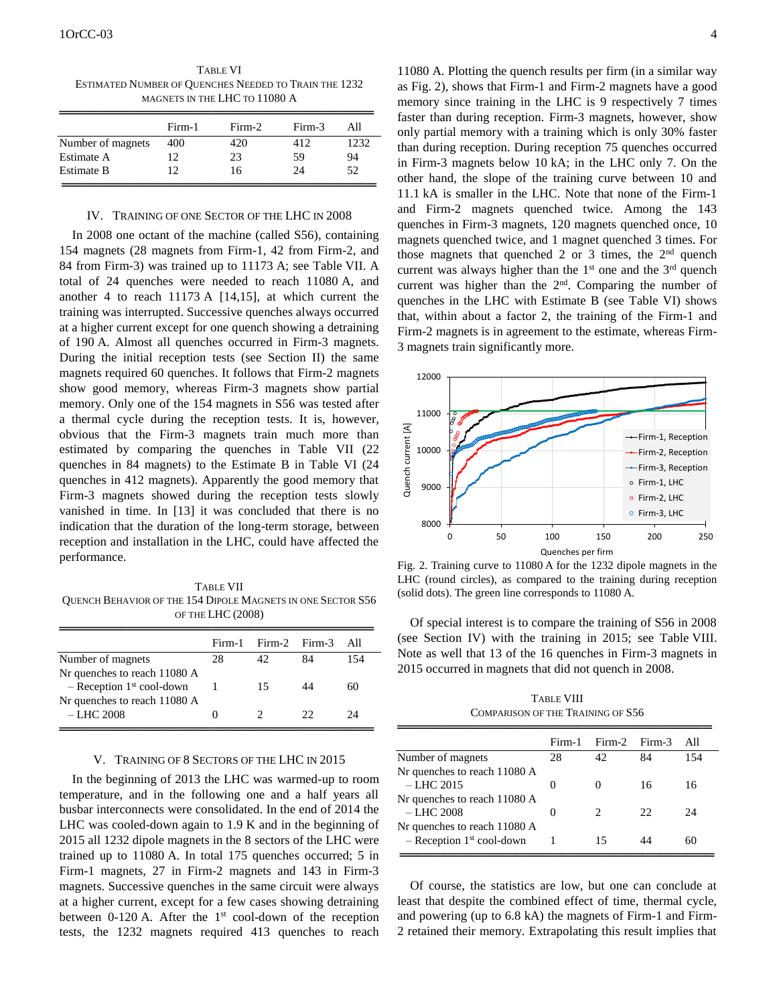TABLE VI ESTIMATED NUMBER OF QUENCHES NEEDED TO TRAIN THE 1232 MAGNETS IN THE LHC TO 11080 A

|                   | Firm-1 | $Firm-2$ | Firm-3 | All  |
|-------------------|--------|----------|--------|------|
| Number of magnets | 400    | 420      | 412    | 1232 |
| Estimate A        | 12     | 23       | 59     | 94   |
| <b>Estimate B</b> | 12     | 16       | 24     | 52   |

## IV. TRAINING OF ONE SECTOR OF THE LHC IN 2008

In 2008 one octant of the machine (called S56), containing 154 magnets (28 magnets from Firm-1, 42 from Firm-2, and 84 from Firm-3) was trained up to 11173 A; see Table VII. A total of 24 quenches were needed to reach 11080 A, and another 4 to reach 11173 A [14,15], at which current the training was interrupted. Successive quenches always occurred at a higher current except for one quench showing a detraining of 190 A. Almost all quenches occurred in Firm-3 magnets. During the initial reception tests (see Section II) the same magnets required 60 quenches. It follows that Firm-2 magnets show good memory, whereas Firm-3 magnets show partial memory. Only one of the 154 magnets in S56 was tested after a thermal cycle during the reception tests. It is, however, obvious that the Firm-3 magnets train much more than estimated by comparing the quenches in Table VII (22 quenches in 84 magnets) to the Estimate B in Table VI (24 quenches in 412 magnets). Apparently the good memory that Firm-3 magnets showed during the reception tests slowly vanished in time. In [13] it was concluded that there is no indication that the duration of the long-term storage, between reception and installation in the LHC, could have affected the performance.

TABLE VII QUENCH BEHAVIOR OF THE 154 DIPOLE MAGNETS IN ONE SECTOR S56 OF THE LHC (2008)

|                                         | Firm-1 | Firm-2 Firm-3 |    | All |
|-----------------------------------------|--------|---------------|----|-----|
| Number of magnets                       | 28     | 42            | 84 | 154 |
| Nr quenches to reach 11080 A            |        |               |    |     |
| $-$ Reception 1 <sup>st</sup> cool-down |        | 15            |    | 60  |
| Nr quenches to reach 11080 A            |        |               |    |     |
| $-LHC$ 2008                             |        |               | つつ | 24  |

## V. TRAINING OF 8 SECTORS OF THE LHC IN 2015

In the beginning of 2013 the LHC was warmed-up to room temperature, and in the following one and a half years all busbar interconnects were consolidated. In the end of 2014 the LHC was cooled-down again to 1.9 K and in the beginning of 2015 all 1232 dipole magnets in the 8 sectors of the LHC were trained up to 11080 A. In total 175 quenches occurred; 5 in Firm-1 magnets, 27 in Firm-2 magnets and 143 in Firm-3 magnets. Successive quenches in the same circuit were always at a higher current, except for a few cases showing detraining between 0-120 A. After the  $1<sup>st</sup>$  cool-down of the reception tests, the 1232 magnets required 413 quenches to reach

11080 A. Plotting the quench results per firm (in a similar way as Fig. 2), shows that Firm-1 and Firm-2 magnets have a good memory since training in the LHC is 9 respectively 7 times faster than during reception. Firm-3 magnets, however, show only partial memory with a training which is only 30% faster than during reception. During reception 75 quenches occurred in Firm-3 magnets below 10 kA; in the LHC only 7. On the other hand, the slope of the training curve between 10 and 11.1 kA is smaller in the LHC. Note that none of the Firm-1 and Firm-2 magnets quenched twice. Among the 143 quenches in Firm-3 magnets, 120 magnets quenched once, 10 magnets quenched twice, and 1 magnet quenched 3 times. For those magnets that quenched 2 or 3 times, the  $2<sup>nd</sup>$  quench current was always higher than the  $1<sup>st</sup>$  one and the  $3<sup>rd</sup>$  quench current was higher than the 2<sup>nd</sup>. Comparing the number of quenches in the LHC with Estimate B (see Table VI) shows that, within about a factor 2, the training of the Firm-1 and Firm-2 magnets is in agreement to the estimate, whereas Firm-3 magnets train significantly more.



Fig. 2. Training curve to 11080 A for the 1232 dipole magnets in the LHC (round circles), as compared to the training during reception (solid dots). The green line corresponds to 11080 A.

Of special interest is to compare the training of S56 in 2008 (see Section IV) with the training in 2015; see Table VIII. Note as well that 13 of the 16 quenches in Firm-3 magnets in 2015 occurred in magnets that did not quench in 2008.

TABLE VIII COMPARISON OF THE TRAINING OF S56

|                                         | Firm-1            | Firm-2 Firm-3                 |    | All |
|-----------------------------------------|-------------------|-------------------------------|----|-----|
| Number of magnets                       | 28                | 42                            | 84 | 154 |
| Nr quenches to reach 11080 A            |                   |                               |    |     |
| $-$ LHC 2015                            | $\mathbf{\Omega}$ | $\mathbf{0}$                  | 16 | 16  |
| Nr quenches to reach 11080 A            |                   |                               |    |     |
| $-$ LHC 2008                            | $\mathbf{\Omega}$ | $\mathfrak{D}_{\mathfrak{p}}$ | 22 | 24  |
| Nr quenches to reach 11080 A            |                   |                               |    |     |
| $-$ Reception 1 <sup>st</sup> cool-down |                   | 15                            |    | 60  |

Of course, the statistics are low, but one can conclude at least that despite the combined effect of time, thermal cycle, and powering (up to 6.8 kA) the magnets of Firm-1 and Firm-2 retained their memory. Extrapolating this result implies that